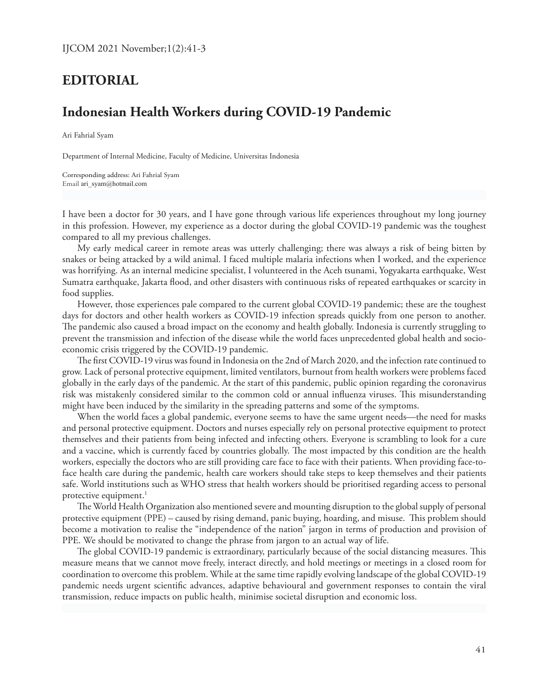## **EDITORIAL**

## **Indonesian Health Workers during COVID-19 Pandemic**

Ari Fahrial Syam

Department of Internal Medicine, Faculty of Medicine, Universitas Indonesia

Corresponding address: Ari Fahrial Syam Email ari\_syam@hotmail.com

I have been a doctor for 30 years, and I have gone through various life experiences throughout my long journey in this profession. However, my experience as a doctor during the global COVID-19 pandemic was the toughest compared to all my previous challenges.

My early medical career in remote areas was utterly challenging; there was always a risk of being bitten by snakes or being attacked by a wild animal. I faced multiple malaria infections when I worked, and the experience was horrifying. As an internal medicine specialist, I volunteered in the Aceh tsunami, Yogyakarta earthquake, West Sumatra earthquake, Jakarta flood, and other disasters with continuous risks of repeated earthquakes or scarcity in food supplies.

However, those experiences pale compared to the current global COVID-19 pandemic; these are the toughest days for doctors and other health workers as COVID-19 infection spreads quickly from one person to another. The pandemic also caused a broad impact on the economy and health globally. Indonesia is currently struggling to prevent the transmission and infection of the disease while the world faces unprecedented global health and socioeconomic crisis triggered by the COVID-19 pandemic.

The first COVID-19 virus was found in Indonesia on the 2nd of March 2020, and the infection rate continued to grow. Lack of personal protective equipment, limited ventilators, burnout from health workers were problems faced globally in the early days of the pandemic. At the start of this pandemic, public opinion regarding the coronavirus risk was mistakenly considered similar to the common cold or annual influenza viruses. This misunderstanding might have been induced by the similarity in the spreading patterns and some of the symptoms.

When the world faces a global pandemic, everyone seems to have the same urgent needs—the need for masks and personal protective equipment. Doctors and nurses especially rely on personal protective equipment to protect themselves and their patients from being infected and infecting others. Everyone is scrambling to look for a cure and a vaccine, which is currently faced by countries globally. The most impacted by this condition are the health workers, especially the doctors who are still providing care face to face with their patients. When providing face-toface health care during the pandemic, health care workers should take steps to keep themselves and their patients safe. World institutions such as WHO stress that health workers should be prioritised regarding access to personal protective equipment.<sup>1</sup>

The World Health Organization also mentioned severe and mounting disruption to the global supply of personal protective equipment (PPE) – caused by rising demand, panic buying, hoarding, and misuse. This problem should become a motivation to realise the "independence of the nation" jargon in terms of production and provision of PPE. We should be motivated to change the phrase from jargon to an actual way of life.

The global COVID-19 pandemic is extraordinary, particularly because of the social distancing measures. This measure means that we cannot move freely, interact directly, and hold meetings or meetings in a closed room for coordination to overcome this problem. While at the same time rapidly evolving landscape of the global COVID-19 pandemic needs urgent scientific advances, adaptive behavioural and government responses to contain the viral transmission, reduce impacts on public health, minimise societal disruption and economic loss.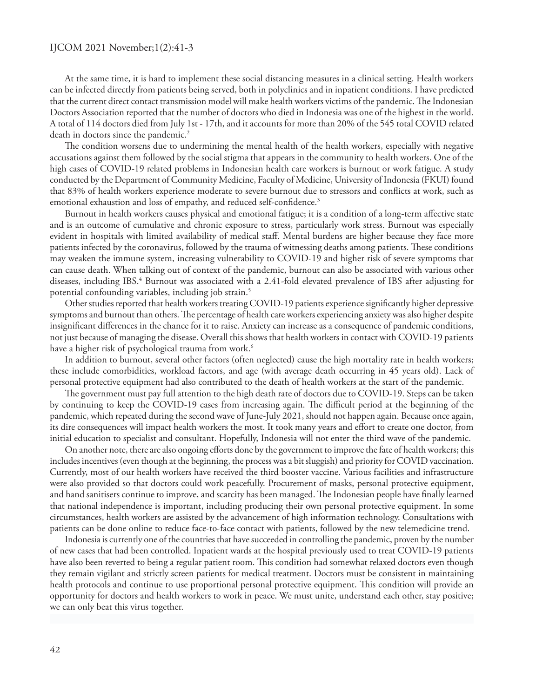At the same time, it is hard to implement these social distancing measures in a clinical setting. Health workers can be infected directly from patients being served, both in polyclinics and in inpatient conditions. I have predicted that the current direct contact transmission model will make health workers victims of the pandemic. The Indonesian Doctors Association reported that the number of doctors who died in Indonesia was one of the highest in the world. A total of 114 doctors died from July 1st - 17th, and it accounts for more than 20% of the 545 total COVID related death in doctors since the pandemic.<sup>2</sup>

The condition worsens due to undermining the mental health of the health workers, especially with negative accusations against them followed by the social stigma that appears in the community to health workers. One of the high cases of COVID-19 related problems in Indonesian health care workers is burnout or work fatigue. A study conducted by the Department of Community Medicine, Faculty of Medicine, University of Indonesia (FKUI) found that 83% of health workers experience moderate to severe burnout due to stressors and conflicts at work, such as emotional exhaustion and loss of empathy, and reduced self-confidence.<sup>3</sup>

Burnout in health workers causes physical and emotional fatigue; it is a condition of a long-term affective state and is an outcome of cumulative and chronic exposure to stress, particularly work stress. Burnout was especially evident in hospitals with limited availability of medical staff. Mental burdens are higher because they face more patients infected by the coronavirus, followed by the trauma of witnessing deaths among patients. These conditions may weaken the immune system, increasing vulnerability to COVID-19 and higher risk of severe symptoms that can cause death. When talking out of context of the pandemic, burnout can also be associated with various other diseases, including IBS.<sup>4</sup> Burnout was associated with a 2.41-fold elevated prevalence of IBS after adjusting for potential confounding variables, including job strain.<sup>5</sup>

Other studies reported that health workers treating COVID-19 patients experience significantly higher depressive symptoms and burnout than others. The percentage of health care workers experiencing anxiety was also higher despite insignificant differences in the chance for it to raise. Anxiety can increase as a consequence of pandemic conditions, not just because of managing the disease. Overall this shows that health workers in contact with COVID-19 patients have a higher risk of psychological trauma from work.<sup>6</sup>

In addition to burnout, several other factors (often neglected) cause the high mortality rate in health workers; these include comorbidities, workload factors, and age (with average death occurring in 45 years old). Lack of personal protective equipment had also contributed to the death of health workers at the start of the pandemic.

The government must pay full attention to the high death rate of doctors due to COVID-19. Steps can be taken by continuing to keep the COVID-19 cases from increasing again. The difficult period at the beginning of the pandemic, which repeated during the second wave of June-July 2021, should not happen again. Because once again, its dire consequences will impact health workers the most. It took many years and effort to create one doctor, from initial education to specialist and consultant. Hopefully, Indonesia will not enter the third wave of the pandemic.

On another note, there are also ongoing efforts done by the government to improve the fate of health workers; this includes incentives (even though at the beginning, the process was a bit sluggish) and priority for COVID vaccination. Currently, most of our health workers have received the third booster vaccine. Various facilities and infrastructure were also provided so that doctors could work peacefully. Procurement of masks, personal protective equipment, and hand sanitisers continue to improve, and scarcity has been managed. The Indonesian people have finally learned that national independence is important, including producing their own personal protective equipment. In some circumstances, health workers are assisted by the advancement of high information technology. Consultations with patients can be done online to reduce face-to-face contact with patients, followed by the new telemedicine trend.

Indonesia is currently one of the countries that have succeeded in controlling the pandemic, proven by the number of new cases that had been controlled. Inpatient wards at the hospital previously used to treat COVID-19 patients have also been reverted to being a regular patient room. This condition had somewhat relaxed doctors even though they remain vigilant and strictly screen patients for medical treatment. Doctors must be consistent in maintaining health protocols and continue to use proportional personal protective equipment. This condition will provide an opportunity for doctors and health workers to work in peace. We must unite, understand each other, stay positive; we can only beat this virus together.